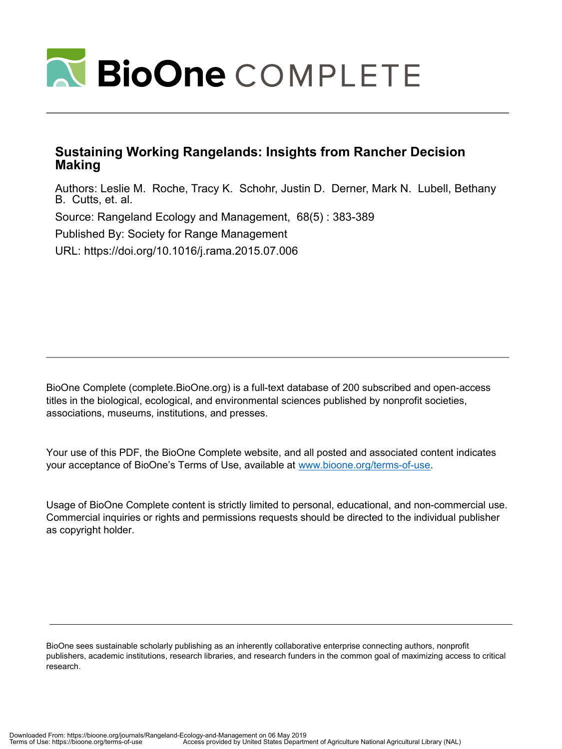

### **Sustaining Working Rangelands: Insights from Rancher Decision Making**

<span id="page-0-9"></span><span id="page-0-8"></span><span id="page-0-7"></span><span id="page-0-6"></span><span id="page-0-5"></span><span id="page-0-4"></span><span id="page-0-3"></span><span id="page-0-1"></span>Authors: Leslie M. Roche, Tracy K. Schohr, Justin D. Derner, Mark N. Lubell, Bethany B. Cutts, et. al. Source: Rangeland Ecology and Management, 68(5) : 383-389 Published By: Society for Range Management URL: https://doi.org/10.1016/j.rama.2015.07.006

BioOne Complete (complete.BioOne.org) is a full-text database of 200 subscribed and open-access titles in the biological, ecological, and environmental sciences published by nonprofit societies, associations, museums, institutions, and presses.

Your use of this PDF, the BioOne Complete website, and all posted and associated content indicates your acceptance of BioOne's Terms of Use, available at www.bioone.org/terms-of-use.

Usage of BioOne Complete content is strictly limited to personal, educational, and non-commercial use. Commercial inquiries or rights and permissions requests should be directed to the individual publisher as copyright holder.

<span id="page-0-2"></span><span id="page-0-0"></span>BioOne sees sustainable scholarly publishing as an inherently collaborative enterprise connecting authors, nonprofit publishers, academic institutions, research libraries, and research funders in the common goal of maximizing access to critical research.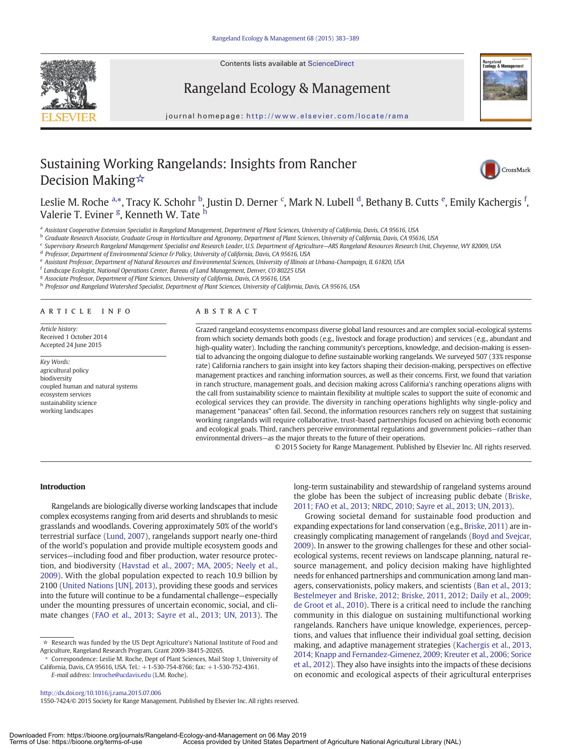

Contents lists available at ScienceDirect

## Rangeland Ecology & Management

journal homepage: http://www.elsevier.com/locate/rama

# Sustaining Working Rangelands: Insights from Rancher Decision Making[☆](#page-0-0)



### Leslie M. Roche <sup>[a,](#page-0-1)\*</sup>, Tracy K. Schohr <sup>[b](#page-0-3)</sup>, Justin D. Derner <sup>[c](#page-0-4)</sup>, Mark N. Lubell <sup>[d](#page-0-5)</sup>, B[e](#page-0-6)thany B. Cutts <sup>e</sup>, Emily Kachergis <sup>[f](#page-0-7)</sup>, Valerie T. Eviner <sup>[g](#page-0-8)</sup>, Kennet[h](#page-0-9) W. Tate <sup>h</sup>

a Assistant Cooperative Extension Specialist in Rangeland Management, Department of Plant Sciences, University of California, Davis, CA 95616, USA

<sup>b</sup> Graduate Research Associate, Graduate Group in Horticulture and Agronomy, Department of Plant Sciences, University of California, Davis, CA 95616, USA

<sup>c</sup> Supervisory Research Rangeland Management Specialist and Research Leader, U.S. Department of Agriculture–ARS Rangeland Resources Research Unit, Cheyenne, WY 82009, USA

d Professor, Department of Environmental Science & Policy, University of California, Davis, CA 95616, USA

e Assistant Professor, Department of Natural Resources and Environmental Sciences, University of Illinois at Urbana-Champaign, IL 61820, USA

 $^{\rm f}$  Landscape Ecologist, National Operations Center, Bureau of Land Management, Denver, CO 80225 USA

<sup>g</sup> Associate Professor, Department of Plant Sciences, University of California, Davis, CA 95616, USA

h Professor and Rangeland Watershed Specialist, Department of Plant Sciences, University of California, Davis, CA 95616, USA

#### article info abstract

Article history: Received 1 October 2014 Accepted 24 June 2015

Key Words: agricultural policy biodiversity coupled human and natural systems ecosystem services sustainability science working landscapes

Grazed rangeland ecosystems encompass diverse global land resources and are complex social-ecological systems from which society demands both goods (e.g., livestock and forage production) and services (e.g., abundant and high-quality water). Including the ranching community's perceptions, knowledge, and decision-making is essential to advancing the ongoing dialogue to define sustainable working rangelands. We surveyed 507 (33% response rate) California ranchers to gain insight into key factors shaping their decision-making, perspectives on effective management practices and ranching information sources, as well as their concerns. First, we found that variation in ranch structure, management goals, and decision making across California's ranching operations aligns with the call from sustainability science to maintain flexibility at multiple scales to support the suite of economic and ecological services they can provide. The diversity in ranching operations highlights why single-policy and management "panaceas" often fail. Second, the information resources ranchers rely on suggest that sustaining working rangelands will require collaborative, trust-based partnerships focused on achieving both economic and ecological goals. Third, ranchers perceive environmental regulations and government policies—rather than environmental drivers—as the major threats to the future of their operations.

© 2015 Society for Range Management. Published by Elsevier Inc. All rights reserved.

### Introduction

Rangelands are biologically diverse working landscapes that include complex ecosystems ranging from arid deserts and shrublands to mesic grasslands and woodlands. Covering approximately 50% of the world's terrestrial surface ([Lund, 2007](#page-6-0)), rangelands support nearly one-third of the world's population and provide multiple ecosystem goods and services—including food and fiber production, water resource protection, and biodiversity ([Havstad et al., 2007; MA, 2005; Neely et al.,](#page-5-0) [2009\)](#page-5-0). With the global population expected to reach 10.9 billion by 2100 [\(United Nations \[UN\], 2013\)](#page-6-0), providing these goods and services into the future will continue to be a fundamental challenge—especially under the mounting pressures of uncertain economic, social, and climate changes [\(FAO et al., 2013; Sayre et al., 2013; UN, 2013\)](#page-5-1). The

⁎ Correspondence: Leslie M. Roche, Dept of Plant Sciences, Mail Stop 1, University of California, Davis, CA 95616, USA. Tel.: +1-530-754-8766; fax: +1-530-752-4361.

E-mail address: [lmroche@ucdavis.edu](mailto:lmroche@ucdavis.edu) (L.M. Roche).

long-term sustainability and stewardship of rangeland systems around the globe has been the subject of increasing public debate [\(Briske,](#page-5-2) [2011; FAO et al., 2013; NRDC, 2010; Sayre et al., 2013; UN, 2013](#page-5-2)).

Growing societal demand for sustainable food production and expanding expectations for land conservation (e.g., [Briske, 2011\)](#page-5-2) are increasingly complicating management of rangelands [\(Boyd and Svejcar,](#page-5-2) [2009](#page-5-2)). In answer to the growing challenges for these and other socialecological systems, recent reviews on landscape planning, natural resource management, and policy decision making have highlighted needs for enhanced partnerships and communication among land managers, conservationists, policy makers, and scientists [\(Ban et al., 2013;](#page-5-3) [Bestelmeyer and Briske, 2012; Briske, 2011, 2012; Daily et al., 2009;](#page-5-3) [de Groot et al., 2010](#page-5-3)). There is a critical need to include the ranching community in this dialogue on sustaining multifunctional working rangelands. Ranchers have unique knowledge, experiences, perceptions, and values that influence their individual goal setting, decision making, and adaptive management strategies [\(Kachergis et al., 2013,](#page-6-0) [2014; Knapp and Fernandez-Gimenez, 2009; Kreuter et al., 2006; Sorice](#page-6-0) [et al., 2012\)](#page-6-0). They also have insights into the impacts of these decisions on economic and ecological aspects of their agricultural enterprises

1550-7424/© 2015 Society for Range Management. Published by Elsevier Inc. All rights reserved.

<sup>☆</sup> Research was funded by the US Dept Agriculture's National Institute of Food and Agriculture, Rangeland Research Program, Grant 2009-38415-20265.

<http://dx.doi.org/10.1016/j.rama.2015.07.006>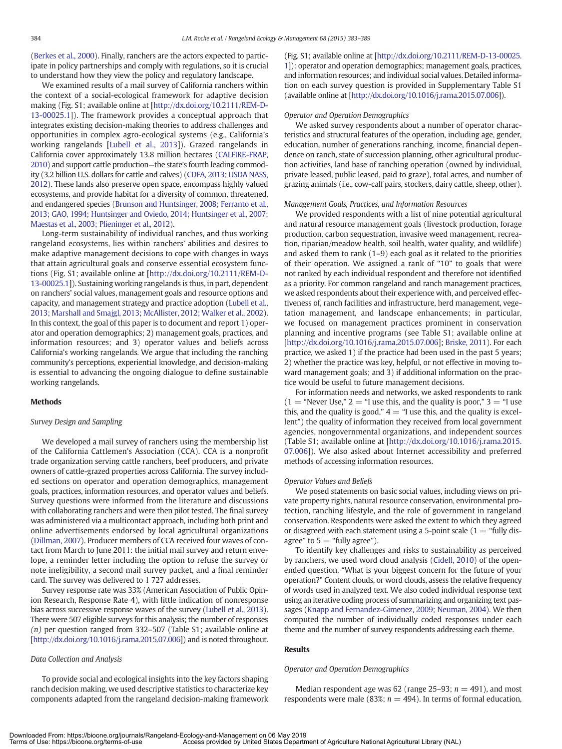([Berkes et al., 2000\)](#page-5-2). Finally, ranchers are the actors expected to participate in policy partnerships and comply with regulations, so it is crucial to understand how they view the policy and regulatory landscape.

We examined results of a mail survey of California ranchers within the context of a social-ecological framework for adaptive decision making (Fig. S1; available online at [\[http://dx.doi.org/10.2111/REM-D-](http://dx.doi.org/)[13-00025.1](http://dx.doi.org/)]). The framework provides a conceptual approach that integrates existing decision-making theories to address challenges and opportunities in complex agro-ecological systems (e.g., California's working rangelands [[Lubell et al., 2013\]](#page-6-0)). Grazed rangelands in California cover approximately 13.8 million hectares ([CALFIRE-FRAP,](#page-5-2) [2010\)](#page-5-2) and support cattle production—the state's fourth leading commodity (3.2 billion U.S. dollars for cattle and calves) ([CDFA, 2013; USDA NASS,](#page-5-2) [2012](#page-5-2)). These lands also preserve open space, encompass highly valued ecosystems, and provide habitat for a diversity of common, threatened, and endangered species ([Brunson and Huntsinger, 2008; Ferranto et al.,](#page-5-2) [2013; GAO, 1994; Huntsinger and Oviedo, 2014; Huntsinger et al., 2007;](#page-5-2) [Maestas et al., 2003; Plieninger et al., 2012](#page-5-2)).

Long-term sustainability of individual ranches, and thus working rangeland ecosystems, lies within ranchers' abilities and desires to make adaptive management decisions to cope with changes in ways that attain agricultural goals and conserve essential ecosystem functions (Fig. S1; available online at [[http://dx.doi.org/10.2111/REM-D-](http://dx.doi.org/)[13-00025.1](http://dx.doi.org/)]). Sustaining working rangelands is thus, in part, dependent on ranchers' social values, management goals and resource options and capacity, and management strategy and practice adoption ([Lubell et al.,](#page-6-0) [2013; Marshall and Smajgl, 2013; McAllister, 2012; Walker et al., 2002](#page-6-0)). In this context, the goal of this paper is to document and report 1) operator and operation demographics; 2) management goals, practices, and information resources; and 3) operator values and beliefs across California's working rangelands. We argue that including the ranching community's perceptions, experiential knowledge, and decision-making is essential to advancing the ongoing dialogue to define sustainable working rangelands.

#### Methods

#### Survey Design and Sampling

We developed a mail survey of ranchers using the membership list of the California Cattlemen's Association (CCA). CCA is a nonprofit trade organization serving cattle ranchers, beef producers, and private owners of cattle-grazed properties across California. The survey included sections on operator and operation demographics, management goals, practices, information resources, and operator values and beliefs. Survey questions were informed from the literature and discussions with collaborating ranchers and were then pilot tested. The final survey was administered via a multicontact approach, including both print and online advertisements endorsed by local agricultural organizations ([Dillman, 2007](#page-5-4)). Producer members of CCA received four waves of contact from March to June 2011: the initial mail survey and return envelope, a reminder letter including the option to refuse the survey or note ineligibility, a second mail survey packet, and a final reminder card. The survey was delivered to 1 727 addresses.

<span id="page-2-0"></span>Survey response rate was 33% (American Association of Public Opinion Research, Response Rate 4), with little indication of nonresponse bias across successive response waves of the survey ([Lubell et al., 2013](#page-6-0)). There were 507 eligible surveys for this analysis; the number of responses (n) per question ranged from 332–507 (Table S1; available online at [\[http://dx.doi.org/10.1016/j.rama.2015.07.006\]](http://dx.doi.org/)) and is noted throughout.

#### Data Collection and Analysis

<span id="page-2-2"></span><span id="page-2-1"></span>To provide social and ecological insights into the key factors shaping ranch decision making, we used descriptive statistics to characterize key components adapted from the rangeland decision-making framework (Fig. S1; available online at [\[http://dx.doi.org/10.2111/REM-D-13-00025.](http://dx.doi.org/) [1\]](http://dx.doi.org/)): operator and operation demographics; management goals, practices, and information resources; and individual social values. Detailed information on each survey question is provided in Supplementary Table S1 (available online at [\[http://dx.doi.org/10.1016/j.rama.2015.07.006\]](http://dx.doi.org/)).

#### Operator and Operation Demographics

We asked survey respondents about a number of operator characteristics and structural features of the operation, including age, gender, education, number of generations ranching, income, financial dependence on ranch, state of succession planning, other agricultural production activities, land base of ranching operation (owned by individual, private leased, public leased, paid to graze), total acres, and number of grazing animals (i.e., cow-calf pairs, stockers, dairy cattle, sheep, other).

#### Management Goals, Practices, and Information Resources

We provided respondents with a list of nine potential agricultural and natural resource management goals (livestock production, forage production, carbon sequestration, invasive weed management, recreation, riparian/meadow health, soil health, water quality, and wildlife) and asked them to rank (1–9) each goal as it related to the priorities of their operation. We assigned a rank of "10" to goals that were not ranked by each individual respondent and therefore not identified as a priority. For common rangeland and ranch management practices, we asked respondents about their experience with, and perceived effectiveness of, ranch facilities and infrastructure, herd management, vegetation management, and landscape enhancements; in particular, we focused on management practices prominent in conservation planning and incentive programs (see Table S1; available online at [\[http://dx.doi.org/10.1016/j.rama.2015.07.006](http://dx.doi.org/)]; [Briske, 2011](#page-5-2)). For each practice, we asked 1) if the practice had been used in the past 5 years; 2) whether the practice was key, helpful, or not effective in moving toward management goals; and 3) if additional information on the practice would be useful to future management decisions.

For information needs and networks, we asked respondents to rank  $(1 = "Never Use," 2 = "I use this, and the quality is poor," 3 = "I use$ this, and the quality is good,"  $4 = 1$  use this, and the quality is excellent") the quality of information they received from local government agencies, nongovernmental organizations, and independent sources (Table S1; available online at [\[http://dx.doi.org/10.1016/j.rama.2015.](http://dx.doi.org/) [07.006](http://dx.doi.org/)]). We also asked about Internet accessibility and preferred methods of accessing information resources.

#### Operator Values and Beliefs

We posed statements on basic social values, including views on private property rights, natural resource conservation, environmental protection, ranching lifestyle, and the role of government in rangeland conservation. Respondents were asked the extent to which they agreed or disagreed with each statement using a 5-point scale  $(1 = "fully dis$ agree" to  $5 =$  "fully agree").

To identify key challenges and risks to sustainability as perceived by ranchers, we used word cloud analysis [\(Cidell, 2010\)](#page-5-2) of the openended question, "What is your biggest concern for the future of your operation?" Content clouds, or word clouds, assess the relative frequency of words used in analyzed text. We also coded individual response text using an iterative coding process of summarizing and organizing text passages ([Knapp and Fernandez-Gimenez, 2009; Neuman, 2004\)](#page-6-0). We then computed the number of individually coded responses under each theme and the number of survey respondents addressing each theme.

#### Results

#### Operator and Operation Demographics

Median respondent age was 62 (range 25–93;  $n = 491$ ), and most respondents were male (83%;  $n = 494$ ). In terms of formal education,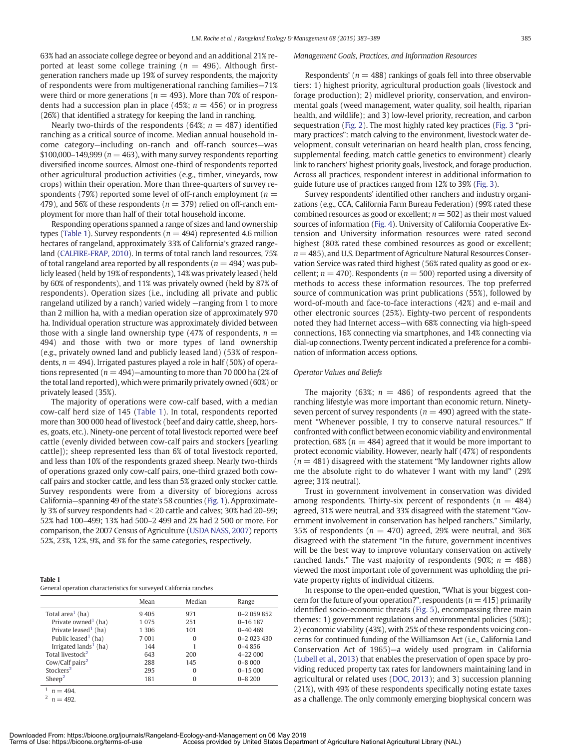<span id="page-3-0"></span>63% had an associate college degree or beyond and an additional 21% reported at least some college training ( $n = 496$ ). Although firstgeneration ranchers made up 19% of survey respondents, the majority of respondents were from multigenerational ranching families—71% were third or more generations ( $n = 493$ ). More than 70% of respondents had a succession plan in place (45%;  $n = 456$ ) or in progress (26%) that identified a strategy for keeping the land in ranching.

Nearly two-thirds of the respondents (64%;  $n = 487$ ) identified ranching as a critical source of income. Median annual household income category—including on-ranch and off-ranch sources—was \$100,000–149,999 ( $n = 463$ ), with many survey respondents reporting diversified income sources. Almost one-third of respondents reported other agricultural production activities (e.g., timber, vineyards, row crops) within their operation. More than three-quarters of survey respondents (79%) reported some level of off-ranch employment ( $n =$ 479), and 56% of these respondents ( $n = 379$ ) relied on off-ranch employment for more than half of their total household income.

Responding operations spanned a range of sizes and land ownership types [\(Table 1\)](#page-2-0). Survey respondents ( $n = 494$ ) represented 4.6 million hectares of rangeland, approximately 33% of California's grazed rangeland ([CALFIRE-FRAP, 2010\)](#page-5-2). In terms of total ranch land resources, 75% of total rangeland area reported by all respondents ( $n = 494$ ) was publicly leased (held by 19% of respondents), 14% was privately leased (held by 60% of respondents), and 11% was privately owned (held by 87% of respondents). Operation sizes (i.e., including all private and public rangeland utilized by a ranch) varied widely —ranging from 1 to more than 2 million ha, with a median operation size of approximately 970 ha. Individual operation structure was approximately divided between those with a single land ownership type (47% of respondents,  $n =$ 494) and those with two or more types of land ownership (e.g., privately owned land and publicly leased land) (53% of respondents,  $n = 494$ ). Irrigated pastures played a role in half (50%) of operations represented ( $n = 494$ )—amounting to more than 70 000 ha (2% of the total land reported), which were primarily privately owned (60%) or privately leased (35%).

The majority of operations were cow-calf based, with a median cow-calf herd size of 145 ([Table 1](#page-2-0)). In total, respondents reported more than 300 000 head of livestock (beef and dairy cattle, sheep, horses, goats, etc.). Ninety-one percent of total livestock reported were beef cattle (evenly divided between cow-calf pairs and stockers [yearling cattle]); sheep represented less than 6% of total livestock reported, and less than 10% of the respondents grazed sheep. Nearly two-thirds of operations grazed only cow-calf pairs, one-third grazed both cowcalf pairs and stocker cattle, and less than 5% grazed only stocker cattle. Survey respondents were from a diversity of bioregions across California—spanning 49 of the state's 58 counties [\(Fig. 1](#page-3-0)). Approximately 3% of survey respondents had  $<$  20 cattle and calves; 30% had 20–99; 52% had 100–499; 13% had 500–2 499 and 2% had 2 500 or more. For comparison, the 2007 Census of Agriculture ([USDA NASS, 2007\)](#page-6-0) reports 52%, 23%, 12%, 9%, and 3% for the same categories, respectively.

| Table 1                                                           |  |
|-------------------------------------------------------------------|--|
| General operation characteristics for surveyed California ranches |  |

|                                   | Mean    | Median   | Range         |
|-----------------------------------|---------|----------|---------------|
| Total area <sup>1</sup> (ha)      | 9405    | 971      | $0 - 2059852$ |
| Private owned <sup>1</sup> (ha)   | 1 0 7 5 | 251      | $0 - 16187$   |
| Private leased <sup>1</sup> (ha)  | 1 3 0 6 | 101      | $0 - 40469$   |
| Public leased <sup>1</sup> (ha)   | 7001    | 0        | $0 - 2023430$ |
| Irrigated lands <sup>1</sup> (ha) | 144     |          | $0 - 4856$    |
| Total livestock <sup>2</sup>      | 643     | 200      | $4 - 22000$   |
| Cow/Calf pairs <sup>2</sup>       | 288     | 145      | $0 - 8000$    |
| Stockers <sup>2</sup>             | 295     | $\Omega$ | $0 - 15000$   |
| Sheep <sup>2</sup>                | 181     | 0        | $0 - 8200$    |

<span id="page-3-1"></span> $n = 494$ .  $n = 492.$ 

#### Management Goals, Practices, and Information Resources

Respondents' ( $n = 488$ ) rankings of goals fell into three observable tiers: 1) highest priority, agricultural production goals (livestock and forage production); 2) midlevel priority, conservation, and environmental goals (weed management, water quality, soil health, riparian health, and wildlife); and 3) low-level priority, recreation, and carbon sequestration ([Fig. 2](#page-3-1)). The most highly rated key practices ([Fig. 3](#page-4-0) "primary practices": match calving to the environment, livestock water development, consult veterinarian on heard health plan, cross fencing, supplemental feeding, match cattle genetics to environment) clearly link to ranchers' highest priority goals, livestock, and forage production. Across all practices, respondent interest in additional information to guide future use of practices ranged from 12% to 39% [\(Fig. 3](#page-4-0)).

Survey respondents' identified other ranchers and industry organizations (e.g., CCA, California Farm Bureau Federation) (99% rated these combined resources as good or excellent;  $n = 502$ ) as their most valued sources of information ([Fig. 4](#page-4-1)). University of California Cooperative Extension and University information resources were rated second highest (80% rated these combined resources as good or excellent;  $n = 485$ ), and U.S. Department of Agriculture Natural Resources Conservation Service was rated third highest (56% rated quality as good or excellent;  $n = 470$ ). Respondents ( $n = 500$ ) reported using a diversity of methods to access these information resources. The top preferred source of communication was print publications (55%), followed by word-of-mouth and face-to-face interactions (42%) and e-mail and other electronic sources (25%). Eighty-two percent of respondents noted they had Internet access—with 68% connecting via high-speed connections, 16% connecting via smartphones, and 14% connecting via dial-up connections. Twenty percent indicated a preference for a combination of information access options.

### Operator Values and Beliefs

The majority (63%;  $n = 486$ ) of respondents agreed that the ranching lifestyle was more important than economic return. Ninetyseven percent of survey respondents ( $n = 490$ ) agreed with the statement "Whenever possible, I try to conserve natural resources." If confronted with conflict between economic viability and environmental protection, 68% ( $n = 484$ ) agreed that it would be more important to protect economic viability. However, nearly half (47%) of respondents  $(n = 481)$  disagreed with the statement "My landowner rights allow me the absolute right to do whatever I want with my land" (29% agree; 31% neutral).

Trust in government involvement in conservation was divided among respondents. Thirty-six percent of respondents ( $n = 484$ ) agreed, 31% were neutral, and 33% disagreed with the statement "Government involvement in conservation has helped ranchers." Similarly, 35% of respondents ( $n = 470$ ) agreed, 29% were neutral, and 36% disagreed with the statement "In the future, government incentives will be the best way to improve voluntary conservation on actively ranched lands." The vast majority of respondents (90%;  $n = 488$ ) viewed the most important role of government was upholding the private property rights of individual citizens.

In response to the open-ended question, "What is your biggest concern for the future of your operation?", respondents ( $n = 415$ ) primarily identified socio-economic threats ([Fig. 5](#page-5-2)), encompassing three main themes: 1) government regulations and environmental policies (50%); 2) economic viability (43%), with 25% of these respondents voicing concerns for continued funding of the Williamson Act (i.e., California Land Conservation Act of 1965)—a widely used program in California [\(Lubell et al., 2013](#page-6-0)) that enables the preservation of open space by providing reduced property tax rates for landowners maintaining land in agricultural or related uses ([DOC, 2013](#page-5-2)); and 3) succession planning (21%), with 49% of these respondents specifically noting estate taxes as a challenge. The only commonly emerging biophysical concern was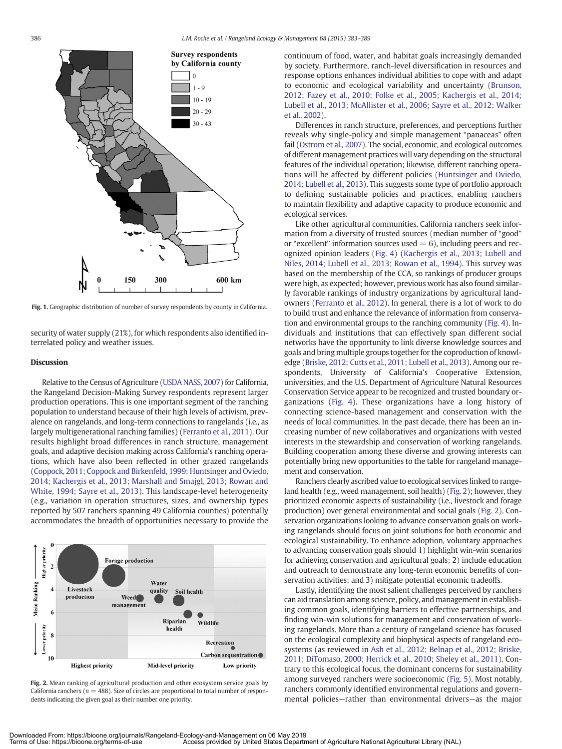<span id="page-4-0"></span>

Fig. 1. Geographic distribution of number of survey respondents by county in California.

security of water supply (21%), for which respondents also identified interrelated policy and weather issues.

#### **Discussion**

Relative to the Census of Agriculture [\(USDA NASS, 2007\)](#page-6-0) for California, the Rangeland Decision-Making Survey respondents represent larger production operations. This is one important segment of the ranching population to understand because of their high levels of activism, prevalence on rangelands, and long-term connections to rangelands (i.e., as largely multigenerational ranching families) [\(Ferranto et al., 2011](#page-5-5)). Our results highlight broad differences in ranch structure, management goals, and adaptive decision making across California's ranching operations, which have also been reflected in other grazed rangelands ([Coppock, 2011; Coppock and Birkenfeld, 1999; Huntsinger and Oviedo,](#page-5-2) [2014; Kachergis et al., 2013; Marshall and Smajgl, 2013; Rowan and](#page-5-2) [White, 1994; Sayre et al., 2013\)](#page-5-2). This landscape-level heterogeneity (e.g., variation in operation structures, sizes, and ownership types reported by 507 ranchers spanning 49 California counties) potentially accommodates the breadth of opportunities necessary to provide the



<span id="page-4-1"></span>Fig. 2. Mean ranking of agricultural production and other ecosystem service goals by California ranchers ( $n = 488$ ). Size of circles are proportional to total number of respondents indicating the given goal as their number one priority.

continuum of food, water, and habitat goals increasingly demanded by society. Furthermore, ranch-level diversification in resources and response options enhances individual abilities to cope with and adapt to economic and ecological variability and uncertainty ([Brunson,](#page-5-2) [2012; Fazey et al., 2010; Folke et al., 2005; Kachergis et al., 2014;](#page-5-2) [Lubell et al., 2013; McAllister et al., 2006; Sayre et al., 2012; Walker](#page-5-2) [et al., 2002](#page-5-2)).

Differences in ranch structure, preferences, and perceptions further reveals why single-policy and simple management "panaceas" often fail ([Ostrom et al., 2007\)](#page-6-0). The social, economic, and ecological outcomes of different management practices will vary depending on the structural features of the individual operation; likewise, different ranching operations will be affected by different policies [\(Huntsinger and Oviedo,](#page-5-6) [2014; Lubell et al., 2013\)](#page-5-6). This suggests some type of portfolio approach to defining sustainable policies and practices, enabling ranchers to maintain flexibility and adaptive capacity to produce economic and ecological services.

Like other agricultural communities, California ranchers seek information from a diversity of trusted sources (median number of "good" or "excellent" information sources used  $= 6$ ), including peers and recognized opinion leaders ([Fig. 4\)](#page-4-1) ([Kachergis et al., 2013; Lubell and](#page-6-0) [Niles, 2014; Lubell et al., 2013; Rowan et al., 1994\)](#page-6-0). This survey was based on the membership of the CCA, so rankings of producer groups were high, as expected; however, previous work has also found similarly favorable rankings of industry organizations by agricultural landowners [\(Ferranto et al., 2012](#page-5-7)). In general, there is a lot of work to do to build trust and enhance the relevance of information from conservation and environmental groups to the ranching community ([Fig. 4](#page-4-1)). Individuals and institutions that can effectively span different social networks have the opportunity to link diverse knowledge sources and goals and bring multiple groups together for the coproduction of knowledge ([Briske, 2012; Cutts et al., 2011; Lubell et al., 2013](#page-5-2)). Among our respondents, University of California's Cooperative Extension, universities, and the U.S. Department of Agriculture Natural Resources Conservation Service appear to be recognized and trusted boundary organizations ([Fig. 4](#page-4-1)). These organizations have a long history of connecting science-based management and conservation with the needs of local communities. In the past decade, there has been an increasing number of new collaboratives and organizations with vested interests in the stewardship and conservation of working rangelands. Building cooperation among these diverse and growing interests can potentially bring new opportunities to the table for rangeland management and conservation.

Ranchers clearly ascribed value to ecological services linked to rangeland health (e.g., weed management, soil health) ([Fig. 2\)](#page-3-1); however, they prioritized economic aspects of sustainability (i.e., livestock and forage production) over general environmental and social goals [\(Fig. 2](#page-3-1)). Conservation organizations looking to advance conservation goals on working rangelands should focus on joint solutions for both economic and ecological sustainability. To enhance adoption, voluntary approaches to advancing conservation goals should 1) highlight win-win scenarios for achieving conservation and agricultural goals; 2) include education and outreach to demonstrate any long-term economic benefits of conservation activities; and 3) mitigate potential economic tradeoffs.

Lastly, identifying the most salient challenges perceived by ranchers can aid translation among science, policy, and management in establishing common goals, identifying barriers to effective partnerships, and finding win-win solutions for management and conservation of working rangelands. More than a century of rangeland science has focused on the ecological complexity and biophysical aspects of rangeland ecosystems (as reviewed in [Ash et al., 2012; Belnap et al., 2012; Briske,](#page-5-8) [2011; DiTomaso, 2000; Herrick et al., 2010; Sheley et al., 2011\)](#page-5-8). Contrary to this ecological focus, the dominant concerns for sustainability among surveyed ranchers were socioeconomic [\(Fig. 5\)](#page-5-2). Most notably, ranchers commonly identified environmental regulations and governmental policies—rather than environmental drivers—as the major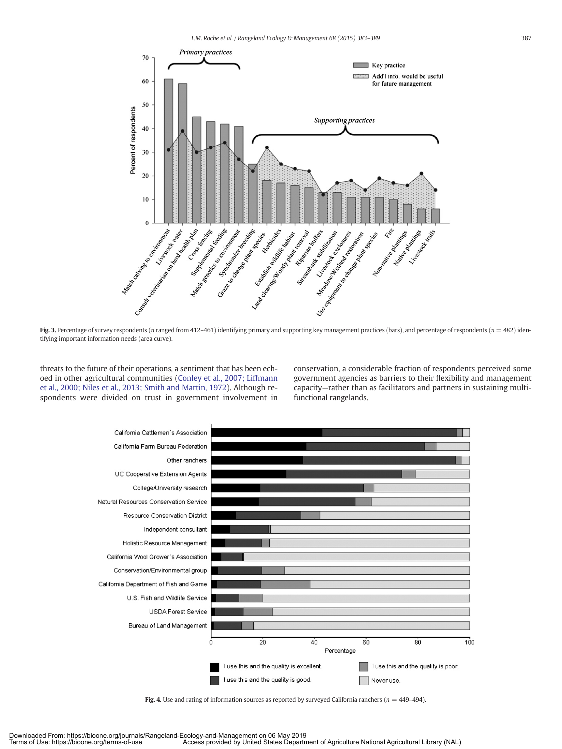<span id="page-5-2"></span>

Fig. 3. Percentage of survey respondents (n ranged from 412-461) identifying primary and supporting key management practices (bars), and percentage of respondents ( $n = 482$ ) identifying important information needs (area curve).

<span id="page-5-4"></span>threats to the future of their operations, a sentiment that has been echoed in other agricultural communities [\(Conley et al., 2007; Liffmann](#page-5-2) [et al., 2000; Niles et al., 2013; Smith and Martin, 1972](#page-5-2)). Although respondents were divided on trust in government involvement in

conservation, a considerable fraction of respondents perceived some government agencies as barriers to their flexibility and management capacity—rather than as facilitators and partners in sustaining multifunctional rangelands.

<span id="page-5-7"></span><span id="page-5-5"></span><span id="page-5-1"></span>

<span id="page-5-8"></span><span id="page-5-6"></span><span id="page-5-3"></span><span id="page-5-0"></span>Fig. 4. Use and rating of information sources as reported by surveyed California ranchers ( $n = 449-494$ ).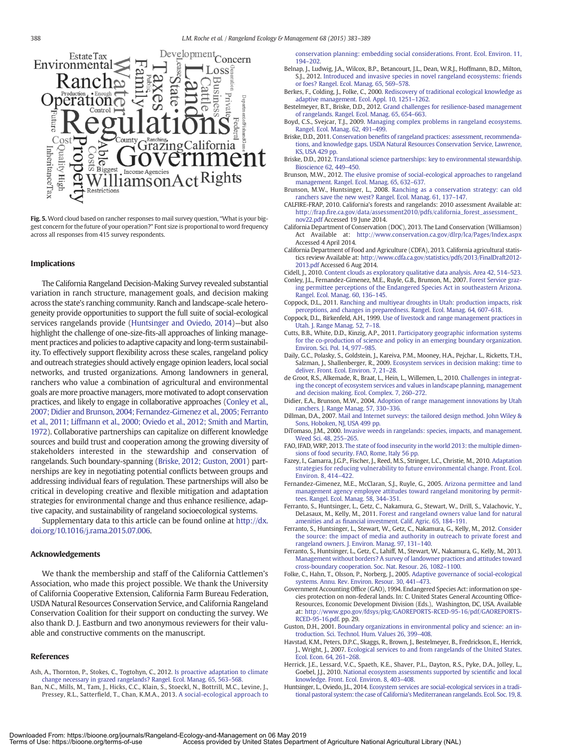<span id="page-6-0"></span>

Fig. 5. Word cloud based on rancher responses to mail survey question, "What is your biggest concern for the future of your operation?" Font size is proportional to word frequency across all responses from 415 survey respondents.

#### Implications

The California Rangeland Decision-Making Survey revealed substantial variation in ranch structure, management goals, and decision making across the state's ranching community. Ranch and landscape-scale heterogeneity provide opportunities to support the full suite of social-ecological services rangelands provide ([Huntsinger and Oviedo, 2014\)](#page-5-6)—but also highlight the challenge of one-size-fits-all approaches of linking management practices and policies to adaptive capacity and long-term sustainability. To effectively support flexibility across these scales, rangeland policy and outreach strategies should actively engage opinion leaders, local social networks, and trusted organizations. Among landowners in general, ranchers who value a combination of agricultural and environmental goals are more proactive managers, more motivated to adopt conservation practices, and likely to engage in collaborative approaches [\(Conley et al.,](#page-5-2) [2007; Didier and Brunson, 2004; Fernandez-Gimenez et al., 2005; Ferranto](#page-5-2) [et al., 2011; Liffmann et al., 2000; Oviedo et al., 2012; Smith and Martin,](#page-5-2) [1972\)](#page-5-2). Collaborative partnerships can capitalize on different knowledge sources and build trust and cooperation among the growing diversity of stakeholders interested in the stewardship and conservation of rangelands. Such boundary-spanning [\(Briske, 2012; Guston, 2001\)](#page-5-2) partnerships are key in negotiating potential conflicts between groups and addressing individual fears of regulation. These partnerships will also be critical in developing creative and flexible mitigation and adaptation strategies for environmental change and thus enhance resilience, adaptive capacity, and sustainability of rangeland socioecological systems.

Supplementary data to this article can be found online at [http://dx.](http://dx.doi.org/10.1016/j.rama.2015.07.006) [doi.org/10.1016/j.rama.2015.07.006.](http://dx.doi.org/10.1016/j.rama.2015.07.006)

#### Acknowledgements

We thank the membership and staff of the California Cattlemen's Association, who made this project possible. We thank the University of California Cooperative Extension, California Farm Bureau Federation, USDA Natural Resources Conservation Service, and California Rangeland Conservation Coalition for their support on conducting the survey. We also thank D. J. Eastburn and two anonymous reviewers for their valuable and constructive comments on the manuscript.

#### References

- Ash, A., Thornton, P., Stokes, C., Togtohyn, C., 2012. [Is proactive adaptation to climate](http://refhub.elsevier.com/S1550-7424(15)00100-1/rf0005) [change necessary in grazed rangelands? Rangel. Ecol. Manag. 65, 563](http://refhub.elsevier.com/S1550-7424(15)00100-1/rf0005)–568.
- Ban, N.C., Mills, M., Tam, J., Hicks, C.C., Klain, S., Stoeckl, N., Bottrill, M.C., Levine, J., Pressey, R.L., Satterfield, T., Chan, K.M.A., 2013. [A social-ecological approach to](http://refhub.elsevier.com/S1550-7424(15)00100-1/rf0010)

[conservation planning: embedding social considerations. Front. Ecol. Environ. 11,](http://refhub.elsevier.com/S1550-7424(15)00100-1/rf0010) [194](http://refhub.elsevier.com/S1550-7424(15)00100-1/rf0010)–202.

- Belnap, J., Ludwig, J.A., Wilcox, B.P., Betancourt, J.L., Dean, W.R.J., Hoffmann, B.D., Milton, S.J., 2012. [Introduced and invasive species in novel rangeland ecosystems: friends](http://refhub.elsevier.com/S1550-7424(15)00100-1/rf0015) [or foes? Rangel. Ecol. Manag. 65, 569](http://refhub.elsevier.com/S1550-7424(15)00100-1/rf0015)–578.
- Berkes, F., Colding, J., Folke, C., 2000. [Rediscovery of traditional ecological knowledge as](http://refhub.elsevier.com/S1550-7424(15)00100-1/rf0020) [adaptive management. Ecol. Appl. 10, 1251](http://refhub.elsevier.com/S1550-7424(15)00100-1/rf0020)–1262.
- Bestelmeyer, B.T., Briske, D.D., 2012. [Grand challenges for resilience-based management](http://refhub.elsevier.com/S1550-7424(15)00100-1/rf0025) [of rangelands. Rangel. Ecol. Manag. 65, 654](http://refhub.elsevier.com/S1550-7424(15)00100-1/rf0025)–663.
- Boyd, C.S., Svejcar, T.J., 2009. [Managing complex problems in rangeland ecosystems.](http://refhub.elsevier.com/S1550-7424(15)00100-1/rf0030) [Rangel. Ecol. Manag. 62, 491](http://refhub.elsevier.com/S1550-7424(15)00100-1/rf0030)–499.
- Briske, D.D., 2011. Conservation benefi[ts of rangeland practices: assessment, recommenda](http://refhub.elsevier.com/S1550-7424(15)00100-1/rf0035)[tions, and knowledge gaps. USDA Natural Resources Conservation Service, Lawrence,](http://refhub.elsevier.com/S1550-7424(15)00100-1/rf0035) [KS, USA 429 pp.](http://refhub.elsevier.com/S1550-7424(15)00100-1/rf0035)
- Briske, D.D., 2012. [Translational science partnerships: key to environmental stewardship.](http://refhub.elsevier.com/S1550-7424(15)00100-1/rf0040) [Bioscience 62, 449](http://refhub.elsevier.com/S1550-7424(15)00100-1/rf0040)–450.
- Brunson, M.W., 2012. [The elusive promise of social-ecological approaches to rangeland](http://refhub.elsevier.com/S1550-7424(15)00100-1/rf0045) [management. Rangel. Ecol. Manag. 65, 632](http://refhub.elsevier.com/S1550-7424(15)00100-1/rf0045)–637.
- Brunson, M.W., Huntsinger, L., 2008. [Ranching as a conservation strategy: can old](http://refhub.elsevier.com/S1550-7424(15)00100-1/rf0050) [ranchers save the new west? Rangel. Ecol. Manag. 61, 137](http://refhub.elsevier.com/S1550-7424(15)00100-1/rf0050)–147.
- CALFIRE-FRAP, 2010. California's forests and rangelands: 2010 assessment Available at: http://frap.fi[re.ca.gov/data/assessment2010/pdfs/california\\_forest\\_assessment\\_](http://frap.fire.ca.gov/data/assessment2010/pdfs/california_forest_assessment_nov22.pdf) [nov22.pdf](http://frap.fire.ca.gov/data/assessment2010/pdfs/california_forest_assessment_nov22.pdf) Accessed 19 June 2014.
- California Department of Conservation (DOC), 2013. The Land Conservation (Williamson) Act Available at: <http://www.conservation.ca.gov/dlrp/lca/Pages/Index.aspx> Accessed 4 April 2014.
- California Department of Food and Agriculture (CDFA), 2013. California agricultural statistics review Available at: [http://www.cdfa.ca.gov/statistics/pdfs/2013/FinalDraft2012-](http://www.cdfa.ca.gov/statistics/pdfs/2013/FinalDraft2012-2013.pdf) [2013.pdf](http://www.cdfa.ca.gov/statistics/pdfs/2013/FinalDraft2012-2013.pdf) Accessed 6 Aug 2014.
- Cidell, J., 2010. [Content clouds as exploratory qualitative data analysis. Area 42, 514](http://refhub.elsevier.com/S1550-7424(15)00100-1/rf0070)–523. Conley, J.L., Fernandez-Gimenez, M.E., Ruyle, G.B., Brunson, M., 2007. [Forest Service graz-](http://refhub.elsevier.com/S1550-7424(15)00100-1/rf0075)
- [ing permittee perceptions of the Endangered Species Act in southeastern Arizona.](http://refhub.elsevier.com/S1550-7424(15)00100-1/rf0075) [Rangel. Ecol. Manag. 60, 136](http://refhub.elsevier.com/S1550-7424(15)00100-1/rf0075)–145.
- Coppock, D.L., 2011. [Ranching and multiyear droughts in Utah: production impacts, risk](http://refhub.elsevier.com/S1550-7424(15)00100-1/rf0080) [perceptions, and changes in preparedness. Rangel. Ecol. Manag. 64, 607](http://refhub.elsevier.com/S1550-7424(15)00100-1/rf0080)–618.
- Coppock, D.L., Birkenfeld, A.H., 1999. [Use of livestock and range management practices in](http://refhub.elsevier.com/S1550-7424(15)00100-1/rf0085) [Utah. J. Range Manag. 52, 7](http://refhub.elsevier.com/S1550-7424(15)00100-1/rf0085)–18.
- Cutts, B.B., White, D.D., Kinzig, A.P., 2011. [Participatory geographic information systems](http://refhub.elsevier.com/S1550-7424(15)00100-1/rf0090) [for the co-production of science and policy in an emerging boundary organization.](http://refhub.elsevier.com/S1550-7424(15)00100-1/rf0090) [Environ. Sci. Pol. 14, 977](http://refhub.elsevier.com/S1550-7424(15)00100-1/rf0090)–985.
- Daily, G.C., Polasky, S., Goldstein, J., Kareiva, P.M., Mooney, H.A., Pejchar, L., Ricketts, T.H., Salzman, J., Shallenberger, R., 2009. [Ecosystem services in decision making: time to](http://refhub.elsevier.com/S1550-7424(15)00100-1/rf0095) [deliver. Front. Ecol. Environ. 7, 21](http://refhub.elsevier.com/S1550-7424(15)00100-1/rf0095)–28.
- de Groot, R.S., Alkemade, R., Braat, L., Hein, L., Willemen, L., 2010. [Challenges in integrat](http://refhub.elsevier.com/S1550-7424(15)00100-1/rf0100)[ing the concept of ecosystem services and values in landscape planning, management](http://refhub.elsevier.com/S1550-7424(15)00100-1/rf0100) [and decision making. Ecol. Complex. 7, 260](http://refhub.elsevier.com/S1550-7424(15)00100-1/rf0100)–272.
- Didier, E.A., Brunson, M.W., 2004. [Adoption of range management innovations by Utah](http://refhub.elsevier.com/S1550-7424(15)00100-1/rf0105) [ranchers. J. Range Manag. 57, 330](http://refhub.elsevier.com/S1550-7424(15)00100-1/rf0105)–336.
- Dillman, D.A., 2007. [Mail and Internet surveys: the tailored design method. John Wiley &](http://refhub.elsevier.com/S1550-7424(15)00100-1/rf0110) [Sons, Hoboken, NJ, USA 499 pp.](http://refhub.elsevier.com/S1550-7424(15)00100-1/rf0110)
- DiTomaso, J.M., 2000. [Invasive weeds in rangelands: species, impacts, and management.](http://refhub.elsevier.com/S1550-7424(15)00100-1/rf0115) [Weed Sci. 48, 255](http://refhub.elsevier.com/S1550-7424(15)00100-1/rf0115)–265.
- FAO, IFAD, WRP, 2013. [The state of food insecurity in the world 2013: the multiple dimen](http://refhub.elsevier.com/S1550-7424(15)00100-1/rf0120)[sions of food security. FAO, Rome, Italy 56 pp.](http://refhub.elsevier.com/S1550-7424(15)00100-1/rf0120)
- Fazey, I., Gamarra, J.G.P., Fischer, J., Reed, M.S., Stringer, L.C., Christie, M., 2010. [Adaptation](http://refhub.elsevier.com/S1550-7424(15)00100-1/rf0125) [strategies for reducing vulnerability to future environmental change. Front. Ecol.](http://refhub.elsevier.com/S1550-7424(15)00100-1/rf0125) [Environ. 8, 414](http://refhub.elsevier.com/S1550-7424(15)00100-1/rf0125)–422.
- Fernandez-Gimenez, M.E., McClaran, S.J., Ruyle, G., 2005. [Arizona permittee and land](http://refhub.elsevier.com/S1550-7424(15)00100-1/rf0130) [management agency employee attitudes toward rangeland monitoring by permit](http://refhub.elsevier.com/S1550-7424(15)00100-1/rf0130)[tees. Rangel. Ecol. Manag. 58, 344](http://refhub.elsevier.com/S1550-7424(15)00100-1/rf0130)–351.
- Ferranto, S., Huntsinger, L., Getz, C., Nakamura, G., Stewart, W., Drill, S., Valachovic, Y., DeLasaux, M., Kelly, M., 2011. [Forest and rangeland owners value land for natural](http://refhub.elsevier.com/S1550-7424(15)00100-1/rf0135) amenities and as fi[nancial investment. Calif. Agric. 65, 184](http://refhub.elsevier.com/S1550-7424(15)00100-1/rf0135)–191.
- Ferranto, S., Huntsinger, L., Stewart, W., Getz, C., Nakamura, G., Kelly, M., 2012. [Consider](http://refhub.elsevier.com/S1550-7424(15)00100-1/rf0140) [the source: the impact of media and authority in outreach to private forest and](http://refhub.elsevier.com/S1550-7424(15)00100-1/rf0140) [rangeland owners. J. Environ. Manag. 97, 131](http://refhub.elsevier.com/S1550-7424(15)00100-1/rf0140)–140.
- Ferranto, S., Huntsinger, L., Getz, C., Lahiff, M., Stewart, W., Nakamura, G., Kelly, M., 2013. [Management without borders? A survey of landowner practices and attitudes toward](http://refhub.elsevier.com/S1550-7424(15)00100-1/rf0145) [cross-boundary cooperation. Soc. Nat. Resour. 26, 1082](http://refhub.elsevier.com/S1550-7424(15)00100-1/rf0145)–1100.
- Folke, C., Hahn, T., Olsson, P., Norberg, J., 2005. [Adaptive governance of social-ecological](http://refhub.elsevier.com/S1550-7424(15)00100-1/rf0150) [systems. Annu. Rev. Environ. Resour. 30, 441](http://refhub.elsevier.com/S1550-7424(15)00100-1/rf0150)–473.
- Government Accounting Office (GAO), 1994. Endangered Species Act: information on species protection on non-federal lands. In: C. United States General Accounting Office-Resources, Economic Development Division (Eds.), Washington, DC, USA. Available at: [http://www.gpo.gov/fdsys/pkg/GAOREPORTS-RCED-95-16/pdf/GAOREPORTS-](http://www.gpo.gov/fdsys/pkg/GAOREPORTS-RCED-95-16/pdf/GAOREPORTS-RCED-95-16.pdf)[RCED-95-16.pdf.](http://www.gpo.gov/fdsys/pkg/GAOREPORTS-RCED-95-16/pdf/GAOREPORTS-RCED-95-16.pdf) pp. 29.
- Guston, D.H., 2001. [Boundary organizations in environmental policy and science: an in](http://refhub.elsevier.com/S1550-7424(15)00100-1/rf0160)[troduction. Sci. Technol. Hum. Values 26, 399](http://refhub.elsevier.com/S1550-7424(15)00100-1/rf0160)–408.
- Havstad, K.M., Peters, D.P.C., Skaggs, R., Brown, J., Bestelmeyer, B., Fredrickson, E., Herrick, J., Wright, J., 2007. [Ecological services to and from rangelands of the United States.](http://refhub.elsevier.com/S1550-7424(15)00100-1/rf0165) [Ecol. Econ. 64, 261](http://refhub.elsevier.com/S1550-7424(15)00100-1/rf0165)–268.
- Herrick, J.E., Lessard, V.C., Spaeth, K.E., Shaver, P.L., Dayton, R.S., Pyke, D.A., Jolley, L., Goebel, J.J., 2010. [National ecosystem assessments supported by scienti](http://refhub.elsevier.com/S1550-7424(15)00100-1/rf0170)fic and local [knowledge. Front. Ecol. Environ. 8, 403](http://refhub.elsevier.com/S1550-7424(15)00100-1/rf0170)–408.
- Huntsinger, L., Oviedo, J.L., 2014. [Ecosystem services are social-ecological services in a tradi](http://refhub.elsevier.com/S1550-7424(15)00100-1/rf0175)[tional pastoral system: the case of California's Mediterranean rangelands. Ecol. Soc. 19, 8](http://refhub.elsevier.com/S1550-7424(15)00100-1/rf0175).